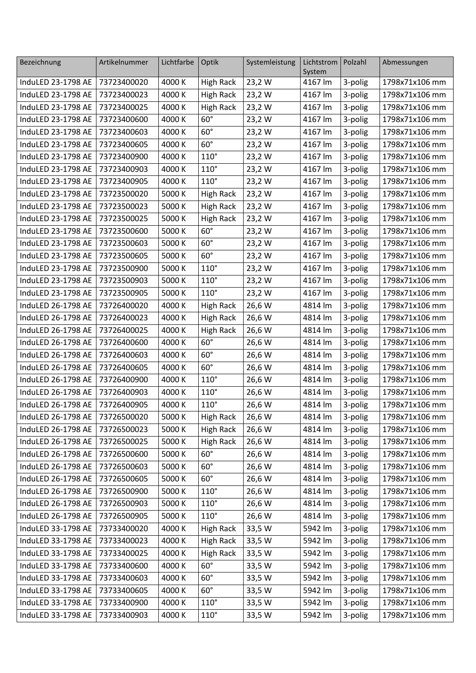| Bezeichnung                    | Artikelnummer | Lichtfarbe | Optik            | Systemleistung | Lichtstrom        | Polzahl               | Abmessungen    |
|--------------------------------|---------------|------------|------------------|----------------|-------------------|-----------------------|----------------|
| InduLED 23-1798 AE             | 73723400020   | 4000 K     | <b>High Rack</b> | 23,2 W         | System<br>4167 lm |                       | 1798x71x106 mm |
| InduLED 23-1798 AE             | 73723400023   | 4000 K     |                  |                |                   | 3-polig               | 1798x71x106 mm |
| InduLED 23-1798 AE             | 73723400025   |            | <b>High Rack</b> | 23,2 W         | 4167 lm           | 3-polig               |                |
|                                |               | 4000 K     | <b>High Rack</b> | 23,2 W         | 4167 lm           | 3-polig               | 1798x71x106 mm |
| InduLED 23-1798 AE             | 73723400600   | 4000 K     | $60^\circ$       | 23,2 W         | 4167 lm           | 3-polig               | 1798x71x106 mm |
| InduLED 23-1798 AE             | 73723400603   | 4000 K     | $60^\circ$       | 23,2W          | 4167 lm           | 3-polig               | 1798x71x106 mm |
| InduLED 23-1798 AE             | 73723400605   | 4000 K     | $60^\circ$       | 23,2 W         | 4167 lm           | 3-polig               | 1798x71x106 mm |
| InduLED 23-1798 AE             | 73723400900   | 4000 K     | $110^\circ$      | 23,2W          | 4167 lm           | 3-polig               | 1798x71x106 mm |
| InduLED 23-1798 AE             | 73723400903   | 4000 K     | $110^\circ$      | 23,2 W         | 4167 lm           | 3-polig               | 1798x71x106 mm |
| InduLED 23-1798 AE             | 73723400905   | 4000 K     | $110^\circ$      | 23,2 W         | 4167 lm           | 3-polig               | 1798x71x106 mm |
| InduLED 23-1798 AE             | 73723500020   | 5000 K     | <b>High Rack</b> | 23,2 W         | 4167 lm           | 3-polig               | 1798x71x106 mm |
| InduLED 23-1798 AE             | 73723500023   | 5000 K     | <b>High Rack</b> | 23,2 W         | 4167 lm           | 3-polig               | 1798x71x106 mm |
| InduLED 23-1798 AE             | 73723500025   | 5000 K     | <b>High Rack</b> | 23,2 W         | 4167 lm           | 3-polig               | 1798x71x106 mm |
| InduLED 23-1798 AE             | 73723500600   | 5000 K     | $60^\circ$       | 23,2 W         | 4167 lm           | 3-polig               | 1798x71x106 mm |
| InduLED 23-1798 AE             | 73723500603   | 5000 K     | $60^\circ$       | 23,2W          | 4167 lm           | 3-polig               | 1798x71x106 mm |
| InduLED 23-1798 AE             | 73723500605   | 5000 K     | $60^\circ$       | 23,2W          | 4167 lm           | 3-polig               | 1798x71x106 mm |
| InduLED 23-1798 AE             | 73723500900   | 5000 K     | $110^\circ$      | 23,2 W         | 4167 lm           | 3-polig               | 1798x71x106 mm |
| InduLED 23-1798 AE             | 73723500903   | 5000 K     | $110^\circ$      | 23,2 W         | 4167 lm           | 3-polig               | 1798x71x106 mm |
| InduLED 23-1798 AE             | 73723500905   | 5000 K     | $110^\circ$      | 23,2 W         | 4167 lm           | 3-polig               | 1798x71x106 mm |
| InduLED 26-1798 AE             | 73726400020   | 4000 K     | <b>High Rack</b> | 26,6 W         | 4814 lm           | 3-polig               | 1798x71x106 mm |
| InduLED 26-1798 AE             | 73726400023   | 4000 K     | <b>High Rack</b> | 26,6 W         | 4814 lm           | 3-polig               | 1798x71x106 mm |
| InduLED 26-1798 AE             | 73726400025   | 4000 K     | <b>High Rack</b> | 26,6 W         | 4814 lm           | 3-polig               | 1798x71x106 mm |
| InduLED 26-1798 AE             | 73726400600   | 4000 K     | $60^\circ$       | 26,6 W         | 4814 lm           | 3-polig               | 1798x71x106 mm |
| InduLED 26-1798 AE             | 73726400603   | 4000 K     | $60^\circ$       | 26,6 W         | 4814 lm           | 3-polig               | 1798x71x106 mm |
| InduLED 26-1798 AE             | 73726400605   | 4000 K     | $60^\circ$       | 26,6 W         | 4814 lm           | 3-polig               | 1798x71x106 mm |
| InduLED 26-1798 AE             | 73726400900   | 4000 K     | $110^\circ$      | 26,6 W         | 4814 lm           | 3-polig               | 1798x71x106 mm |
| InduLED 26-1798 AE             | 73726400903   | 4000 K     | $110^\circ$      | 26,6 W         | 4814 lm           | 3-polig               | 1798x71x106 mm |
| InduLED 26-1798 AE             | 73726400905   | 4000 K     | $110^{\circ}$    | 26,6 W         | 4814 lm           | 3-polig               | 1798x71x106 mm |
| InduLED 26-1798 AE 73726500020 |               | 5000 K     | High Rack        | 26,6 W         | 4814 lm           | $\overline{3}$ -polig | 1798x71x106 mm |
| InduLED 26-1798 AE             | 73726500023   | 5000 K     | <b>High Rack</b> | 26,6 W         | 4814 lm           | 3-polig               | 1798x71x106 mm |
| InduLED 26-1798 AE             | 73726500025   | 5000 K     | <b>High Rack</b> | 26,6 W         | 4814 lm           | 3-polig               | 1798x71x106 mm |
| InduLED 26-1798 AE             | 73726500600   | 5000 K     | $60^\circ$       | 26,6 W         | 4814 lm           | 3-polig               | 1798x71x106 mm |
| InduLED 26-1798 AE             | 73726500603   | 5000 K     | $60^\circ$       | 26,6 W         | 4814 lm           | 3-polig               | 1798x71x106 mm |
| InduLED 26-1798 AE             | 73726500605   | 5000 K     | $60^\circ$       | 26,6 W         | 4814 lm           | 3-polig               | 1798x71x106 mm |
| InduLED 26-1798 AE             | 73726500900   | 5000 K     | $110^\circ$      | 26,6 W         | 4814 lm           | 3-polig               | 1798x71x106 mm |
| InduLED 26-1798 AE             | 73726500903   | 5000 K     | $110^\circ$      | 26,6 W         | 4814 lm           | 3-polig               | 1798x71x106 mm |
| InduLED 26-1798 AE             | 73726500905   | 5000 K     | $110^\circ$      | 26,6 W         | 4814 lm           | 3-polig               | 1798x71x106 mm |
| InduLED 33-1798 AE             | 73733400020   | 4000 K     | <b>High Rack</b> | 33,5 W         | 5942 lm           | 3-polig               | 1798x71x106 mm |
| InduLED 33-1798 AE             | 73733400023   | 4000 K     | <b>High Rack</b> | 33,5 W         | 5942 lm           | 3-polig               | 1798x71x106 mm |
| InduLED 33-1798 AE             | 73733400025   | 4000 K     | <b>High Rack</b> | 33,5 W         | 5942 lm           | 3-polig               | 1798x71x106 mm |
| InduLED 33-1798 AE             | 73733400600   | 4000 K     | $60^\circ$       | 33,5 W         | 5942 lm           | 3-polig               | 1798x71x106 mm |
| InduLED 33-1798 AE             | 73733400603   | 4000 K     | $60^\circ$       | 33,5 W         | 5942 lm           | 3-polig               | 1798x71x106 mm |
| InduLED 33-1798 AE             | 73733400605   | 4000 K     | $60^\circ$       | 33,5 W         | 5942 lm           | 3-polig               | 1798x71x106 mm |
| InduLED 33-1798 AE             | 73733400900   | 4000 K     | $110^\circ$      | 33,5 W         | 5942 lm           | 3-polig               | 1798x71x106 mm |
| InduLED 33-1798 AE             | 73733400903   | 4000 K     | $110^\circ$      | 33,5 W         | 5942 lm           | 3-polig               | 1798x71x106 mm |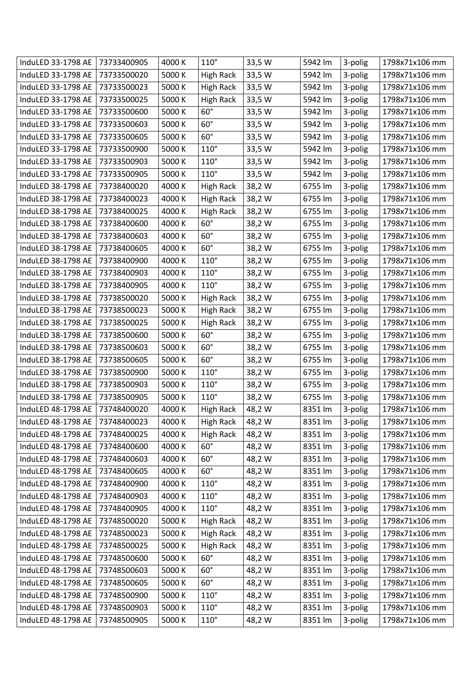| InduLED 33-1798 AE | 73733400905 | 4000 K | $110^\circ$      | 33,5 W | 5942 lm | 3-polig | 1798x71x106 mm |
|--------------------|-------------|--------|------------------|--------|---------|---------|----------------|
| InduLED 33-1798 AE | 73733500020 | 5000 K | <b>High Rack</b> | 33,5 W | 5942 lm | 3-polig | 1798x71x106 mm |
| InduLED 33-1798 AE | 73733500023 | 5000 K | <b>High Rack</b> | 33,5 W | 5942 lm | 3-polig | 1798x71x106 mm |
| InduLED 33-1798 AE | 73733500025 | 5000 K | <b>High Rack</b> | 33,5 W | 5942 lm | 3-polig | 1798x71x106 mm |
| InduLED 33-1798 AE | 73733500600 | 5000 K | $60^\circ$       | 33,5 W | 5942 lm | 3-polig | 1798x71x106 mm |
| InduLED 33-1798 AE | 73733500603 | 5000 K | $60^\circ$       | 33,5 W | 5942 lm | 3-polig | 1798x71x106 mm |
| InduLED 33-1798 AE | 73733500605 | 5000 K | $60^\circ$       | 33,5 W | 5942 lm | 3-polig | 1798x71x106 mm |
| InduLED 33-1798 AE | 73733500900 | 5000 K | $110^\circ$      | 33,5 W | 5942 lm | 3-polig | 1798x71x106 mm |
| InduLED 33-1798 AE | 73733500903 | 5000 K | $110^\circ$      | 33,5 W | 5942 lm | 3-polig | 1798x71x106 mm |
| InduLED 33-1798 AE | 73733500905 | 5000 K | $110^\circ$      | 33,5 W | 5942 lm | 3-polig | 1798x71x106 mm |
| InduLED 38-1798 AE | 73738400020 | 4000 K | <b>High Rack</b> | 38,2 W | 6755 lm | 3-polig | 1798x71x106 mm |
| InduLED 38-1798 AE | 73738400023 | 4000 K | <b>High Rack</b> | 38,2 W | 6755 lm | 3-polig | 1798x71x106 mm |
| InduLED 38-1798 AE | 73738400025 | 4000 K | <b>High Rack</b> | 38,2 W | 6755 lm | 3-polig | 1798x71x106 mm |
| InduLED 38-1798 AE | 73738400600 | 4000 K | $60^\circ$       | 38,2W  | 6755 lm | 3-polig | 1798x71x106 mm |
| InduLED 38-1798 AE | 73738400603 | 4000 K | $60^\circ$       | 38,2 W | 6755 lm | 3-polig | 1798x71x106 mm |
| InduLED 38-1798 AE | 73738400605 | 4000 K | $60^\circ$       | 38,2 W | 6755 lm | 3-polig | 1798x71x106 mm |
| InduLED 38-1798 AE | 73738400900 | 4000 K | $110^\circ$      | 38,2W  | 6755 lm | 3-polig | 1798x71x106 mm |
| InduLED 38-1798 AE | 73738400903 | 4000 K | $110^\circ$      | 38,2 W | 6755 lm | 3-polig | 1798x71x106 mm |
| InduLED 38-1798 AE | 73738400905 | 4000 K | $110^\circ$      | 38,2 W | 6755 lm | 3-polig | 1798x71x106 mm |
| InduLED 38-1798 AE | 73738500020 | 5000 K | <b>High Rack</b> | 38,2 W | 6755 lm | 3-polig | 1798x71x106 mm |
| InduLED 38-1798 AE | 73738500023 | 5000 K | <b>High Rack</b> | 38,2 W | 6755 lm | 3-polig | 1798x71x106 mm |
| InduLED 38-1798 AE | 73738500025 | 5000 K | <b>High Rack</b> | 38,2 W | 6755 lm | 3-polig | 1798x71x106 mm |
| InduLED 38-1798 AE | 73738500600 | 5000 K | $60^\circ$       | 38,2 W | 6755 lm | 3-polig | 1798x71x106 mm |
| InduLED 38-1798 AE | 73738500603 | 5000 K | $60^\circ$       | 38,2 W | 6755 lm | 3-polig | 1798x71x106 mm |
| InduLED 38-1798 AE | 73738500605 | 5000 K | $60^\circ$       | 38,2 W | 6755 lm | 3-polig | 1798x71x106 mm |
| InduLED 38-1798 AE | 73738500900 | 5000 K | $110^\circ$      | 38,2 W | 6755 lm | 3-polig | 1798x71x106 mm |
| InduLED 38-1798 AE | 73738500903 | 5000 K | $110^\circ$      | 38,2 W | 6755 lm | 3-polig | 1798x71x106 mm |
| InduLED 38-1798 AE | 73738500905 | 5000 K | $110^\circ$      | 38,2 W | 6755 lm | 3-polig | 1798x71x106 mm |
| InduLED 48-1798 AE | 73748400020 | 4000 K | <b>High Rack</b> | 48,2 W | 8351 lm | 3-polig | 1798x71x106 mm |
| InduLED 48-1798 AE | 73748400023 | 4000 K | <b>High Rack</b> | 48,2 W | 8351 lm | 3-polig | 1798x71x106 mm |
| InduLED 48-1798 AE | 73748400025 | 4000 K | <b>High Rack</b> | 48,2 W | 8351 lm | 3-polig | 1798x71x106 mm |
| InduLED 48-1798 AE | 73748400600 | 4000 K | $60^\circ$       | 48,2 W | 8351 lm | 3-polig | 1798x71x106 mm |
| InduLED 48-1798 AE | 73748400603 | 4000 K | $60^\circ$       | 48,2 W | 8351 lm | 3-polig | 1798x71x106 mm |
| InduLED 48-1798 AE | 73748400605 | 4000 K | $60^\circ$       | 48,2 W | 8351 lm | 3-polig | 1798x71x106 mm |
| InduLED 48-1798 AE | 73748400900 | 4000 K | $110^\circ$      | 48,2 W | 8351 lm | 3-polig | 1798x71x106 mm |
| InduLED 48-1798 AE | 73748400903 | 4000 K | $110^\circ$      | 48,2 W | 8351 lm | 3-polig | 1798x71x106 mm |
| InduLED 48-1798 AE | 73748400905 | 4000 K | $110^\circ$      | 48,2 W | 8351 lm | 3-polig | 1798x71x106 mm |
| InduLED 48-1798 AE | 73748500020 | 5000 K | <b>High Rack</b> | 48,2 W | 8351 lm | 3-polig | 1798x71x106 mm |
| InduLED 48-1798 AE | 73748500023 | 5000 K | <b>High Rack</b> | 48,2 W | 8351 lm | 3-polig | 1798x71x106 mm |
| InduLED 48-1798 AE | 73748500025 | 5000 K | <b>High Rack</b> | 48,2 W | 8351 lm | 3-polig | 1798x71x106 mm |
| InduLED 48-1798 AE | 73748500600 | 5000 K | $60^\circ$       | 48,2 W | 8351 lm | 3-polig | 1798x71x106 mm |
| InduLED 48-1798 AE | 73748500603 | 5000 K | $60^\circ$       | 48,2 W | 8351 lm | 3-polig | 1798x71x106 mm |
| InduLED 48-1798 AE | 73748500605 | 5000 K | $60^\circ$       | 48,2 W | 8351 lm | 3-polig | 1798x71x106 mm |
| InduLED 48-1798 AE | 73748500900 | 5000 K | $110^\circ$      | 48,2 W | 8351 lm | 3-polig | 1798x71x106 mm |
| InduLED 48-1798 AE | 73748500903 | 5000 K | $110^\circ$      | 48,2 W | 8351 lm | 3-polig | 1798x71x106 mm |
| InduLED 48-1798 AE | 73748500905 | 5000 K | $110^\circ$      | 48,2 W | 8351 lm | 3-polig | 1798x71x106 mm |